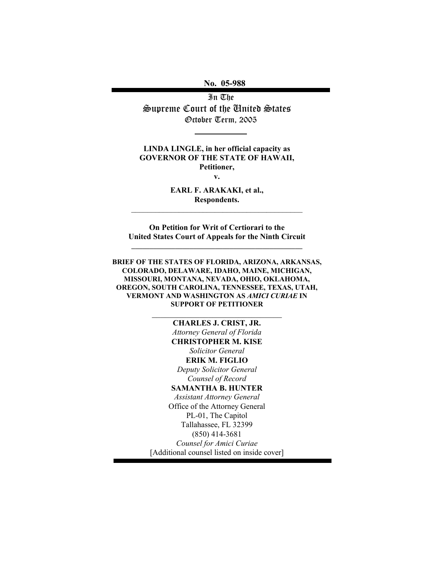No. 05-988

In The Supreme Court of the United States October Term, 2005

LINDA LINGLE, in her official capacity as GOVERNOR OF THE STATE OF HAWAII, Petitioner,

v.

EARL F. ARAKAKI, et al., Respondents. \_\_\_\_\_\_\_\_\_\_\_\_\_\_\_\_\_\_\_\_\_\_\_\_\_\_\_\_\_\_\_\_\_\_\_\_\_\_\_\_\_\_\_

On Petition for Writ of Certiorari to the United States Court of Appeals for the Ninth Circuit  $\_$  , and the set of the set of the set of the set of the set of the set of the set of the set of the set of the set of the set of the set of the set of the set of the set of the set of the set of the set of the set of th

BRIEF OF THE STATES OF FLORIDA, ARIZONA, ARKANSAS, COLORADO, DELAWARE, IDAHO, MAINE, MICHIGAN, MISSOURI, MONTANA, NEVADA, OHIO, OKLAHOMA, OREGON, SOUTH CAROLINA, TENNESSEE, TEXAS, UTAH, VERMONT AND WASHINGTON AS AMICI CURIAE IN SUPPORT OF PETITIONER

\_\_\_\_\_\_\_\_\_\_\_\_\_\_\_\_\_\_\_\_\_\_\_\_\_\_\_\_\_\_

CHARLES J. CRIST, JR. Attorney General of Florida CHRISTOPHER M. KISE Solicitor General ERIK M. FIGLIO Deputy Solicitor General Counsel of Record SAMANTHA B. HUNTER Assistant Attorney General Office of the Attorney General PL-01, The Capitol Tallahassee, FL 32399 (850) 414-3681 Counsel for Amici Curiae [Additional counsel listed on inside cover]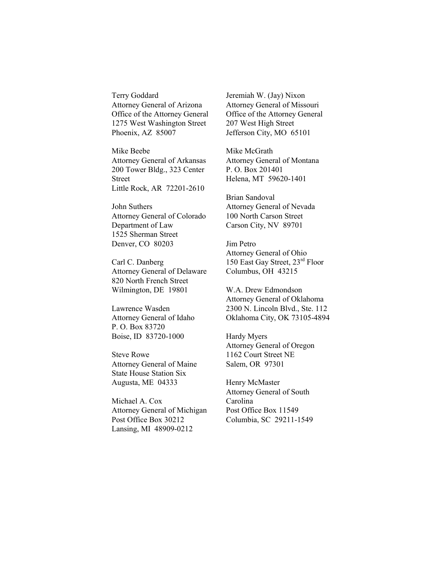Terry Goddard Attorney General of Arizona Office of the Attorney General 1275 West Washington Street Phoenix, AZ 85007

Mike Beebe Attorney General of Arkansas 200 Tower Bldg., 323 Center Street Little Rock, AR 72201-2610

John Suthers Attorney General of Colorado Department of Law 1525 Sherman Street Denver, CO 80203

Carl C. Danberg Attorney General of Delaware 820 North French Street Wilmington, DE 19801

Lawrence Wasden Attorney General of Idaho P. O. Box 83720 Boise, ID 83720-1000

Steve Rowe Attorney General of Maine State House Station Six Augusta, ME 04333

Michael A. Cox Attorney General of Michigan Post Office Box 30212 Lansing, MI 48909-0212

Jeremiah W. (Jay) Nixon Attorney General of Missouri Office of the Attorney General 207 West High Street Jefferson City, MO 65101

Mike McGrath Attorney General of Montana P. O. Box 201401 Helena, MT 59620-1401

Brian Sandoval Attorney General of Nevada 100 North Carson Street Carson City, NV 89701

Jim Petro Attorney General of Ohio 150 East Gay Street, 23rd Floor Columbus, OH 43215

W.A. Drew Edmondson Attorney General of Oklahoma 2300 N. Lincoln Blvd., Ste. 112 Oklahoma City, OK 73105-4894

Hardy Myers Attorney General of Oregon 1162 Court Street NE Salem, OR 97301

Henry McMaster Attorney General of South Carolina Post Office Box 11549 Columbia, SC 29211-1549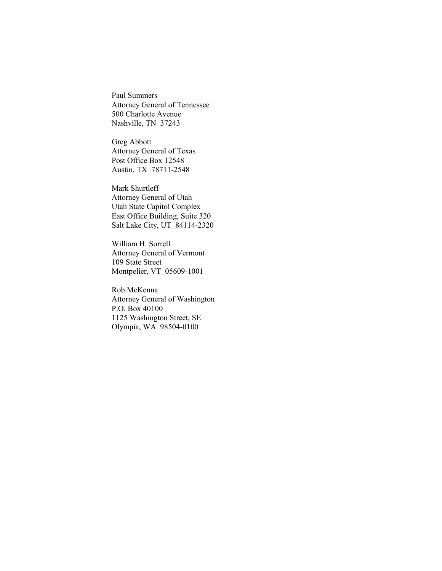Paul Summers Attorney General of Tennessee 500 Charlotte Avenue Nashville, TN 37243

Greg Abbott Attorney General of Texas Post Office Box 12548 Austin, TX 78711-2548

Mark Shurtleff Attorney General of Utah Utah State Capitol Complex East Office Building, Suite 320 Salt Lake City, UT 84114-2320

William H. Sorrell Attorney General of Vermont 109 State Street Montpelier, VT 05609-1001

Rob McKenna Attorney General of Washington P.O. Box 40100 1125 Washington Street, SE Olympia, WA 98504-0100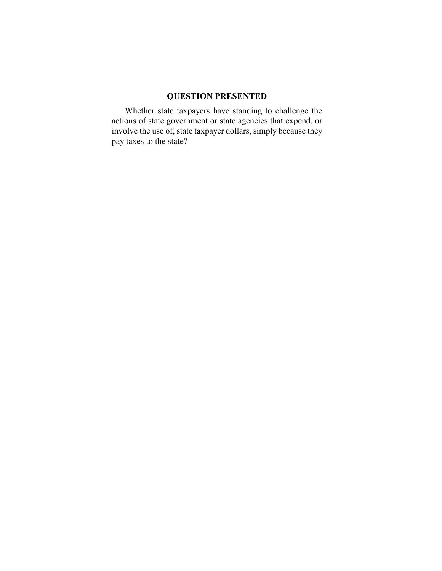### QUESTION PRESENTED

 Whether state taxpayers have standing to challenge the actions of state government or state agencies that expend, or involve the use of, state taxpayer dollars, simply because they pay taxes to the state?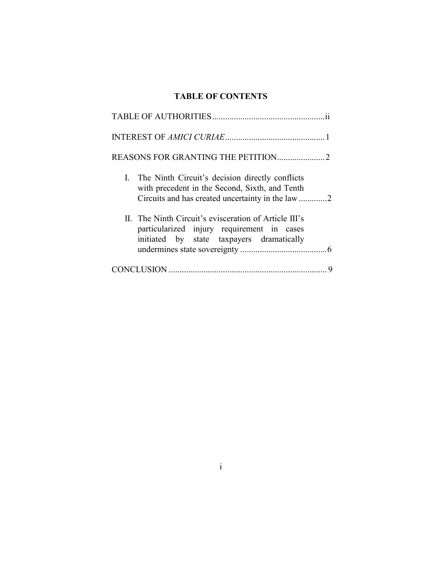# TABLE OF CONTENTS

| I. The Ninth Circuit's decision directly conflicts<br>with precedent in the Second, Sixth, and Tenth                                             |
|--------------------------------------------------------------------------------------------------------------------------------------------------|
| II. The Ninth Circuit's evisceration of Article III's<br>particularized injury requirement in cases<br>initiated by state taxpayers dramatically |
|                                                                                                                                                  |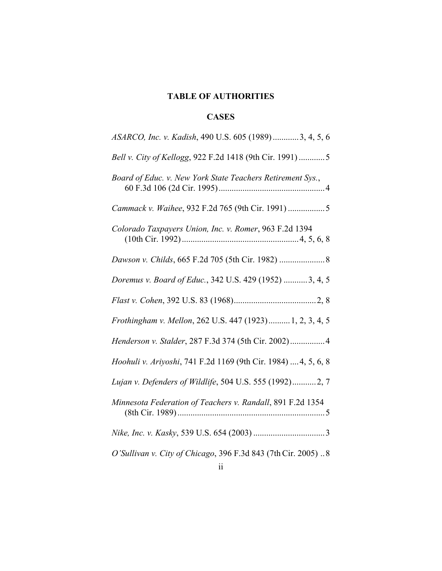# TABLE OF AUTHORITIES

## **CASES**

| ASARCO, Inc. v. Kadish, 490 U.S. 605 (1989)3, 4, 5, 6          |
|----------------------------------------------------------------|
| Bell v. City of Kellogg, 922 F.2d 1418 (9th Cir. 1991) 5       |
| Board of Educ. v. New York State Teachers Retirement Sys.,     |
| Cammack v. Waihee, 932 F.2d 765 (9th Cir. 1991) 5              |
| Colorado Taxpayers Union, Inc. v. Romer, 963 F.2d 1394         |
|                                                                |
| Doremus v. Board of Educ., 342 U.S. 429 (1952) 3, 4, 5         |
|                                                                |
| Frothingham v. Mellon, 262 U.S. 447 (1923) 1, 2, 3, 4, 5       |
| Henderson v. Stalder, 287 F.3d 374 (5th Cir. 2002) 4           |
| Hoohuli v. Ariyoshi, 741 F.2d 1169 (9th Cir. 1984)  4, 5, 6, 8 |
| Lujan v. Defenders of Wildlife, 504 U.S. 555 (1992)2, 7        |
| Minnesota Federation of Teachers v. Randall, 891 F.2d 1354     |
|                                                                |
| O'Sullivan v. City of Chicago, 396 F.3d 843 (7th Cir. 2005)8   |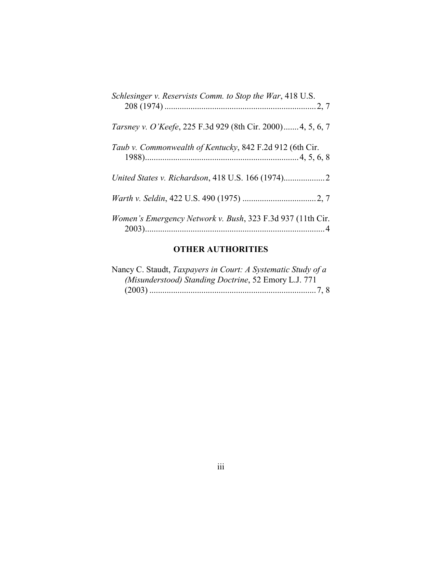| Schlesinger v. Reservists Comm. to Stop the War, 418 U.S.   |
|-------------------------------------------------------------|
| Tarsney v. O'Keefe, 225 F.3d 929 (8th Cir. 2000) 4, 5, 6, 7 |
| Taub v. Commonwealth of Kentucky, 842 F.2d 912 (6th Cir.    |
|                                                             |
|                                                             |
| Women's Emergency Network v. Bush, 323 F.3d 937 (11th Cir.  |

## OTHER AUTHORITIES

| Nancy C. Staudt, Taxpayers in Court: A Systematic Study of a |
|--------------------------------------------------------------|
| (Misunderstood) Standing Doctrine, 52 Emory L.J. 771         |
|                                                              |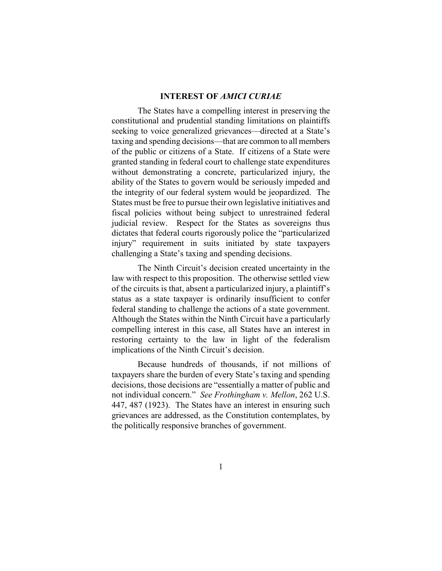#### INTEREST OF AMICI CURIAE

The States have a compelling interest in preserving the constitutional and prudential standing limitations on plaintiffs seeking to voice generalized grievances—directed at a State's taxing and spending decisions—that are common to all members of the public or citizens of a State. If citizens of a State were granted standing in federal court to challenge state expenditures without demonstrating a concrete, particularized injury, the ability of the States to govern would be seriously impeded and the integrity of our federal system would be jeopardized. The States must be free to pursue their own legislative initiatives and fiscal policies without being subject to unrestrained federal judicial review. Respect for the States as sovereigns thus dictates that federal courts rigorously police the "particularized injury" requirement in suits initiated by state taxpayers challenging a State's taxing and spending decisions.

The Ninth Circuit's decision created uncertainty in the law with respect to this proposition. The otherwise settled view of the circuits is that, absent a particularized injury, a plaintiff's status as a state taxpayer is ordinarily insufficient to confer federal standing to challenge the actions of a state government. Although the States within the Ninth Circuit have a particularly compelling interest in this case, all States have an interest in restoring certainty to the law in light of the federalism implications of the Ninth Circuit's decision.

Because hundreds of thousands, if not millions of taxpayers share the burden of every State's taxing and spending decisions, those decisions are "essentially a matter of public and not individual concern." See Frothingham v. Mellon, 262 U.S. 447, 487 (1923). The States have an interest in ensuring such grievances are addressed, as the Constitution contemplates, by the politically responsive branches of government.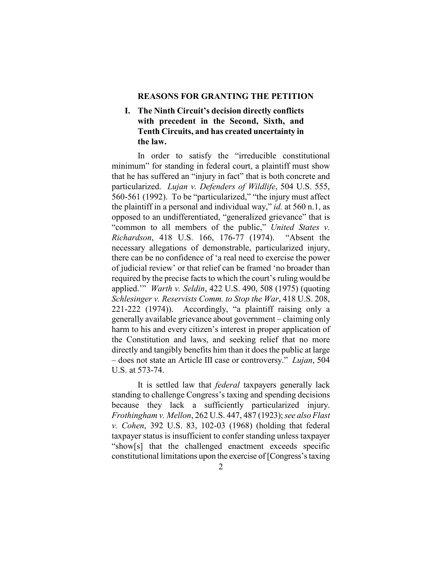#### REASONS FOR GRANTING THE PETITION

### I. The Ninth Circuit's decision directly conflicts with precedent in the Second, Sixth, and Tenth Circuits, and has created uncertainty in the law.

In order to satisfy the "irreducible constitutional minimum" for standing in federal court, a plaintiff must show that he has suffered an "injury in fact" that is both concrete and particularized. Lujan v. Defenders of Wildlife, 504 U.S. 555, 560-561 (1992). To be "particularized," "the injury must affect the plaintiff in a personal and individual way," *id.* at 560 n.1, as opposed to an undifferentiated, "generalized grievance" that is "common to all members of the public," United States v. Richardson, 418 U.S. 166, 176-77 (1974). "Absent the necessary allegations of demonstrable, particularized injury, there can be no confidence of 'a real need to exercise the power of judicial review' or that relief can be framed 'no broader than required by the precise facts to which the court's ruling would be applied."" *Warth v. Seldin*, 422 U.S. 490, 508 (1975) (quoting Schlesinger v. Reservists Comm. to Stop the War, 418 U.S. 208, 221-222 (1974)). Accordingly, "a plaintiff raising only a generally available grievance about government – claiming only harm to his and every citizen's interest in proper application of the Constitution and laws, and seeking relief that no more directly and tangibly benefits him than it does the public at large – does not state an Article III case or controversy." Lujan, 504 U.S. at 573-74.

It is settled law that federal taxpayers generally lack standing to challenge Congress's taxing and spending decisions because they lack a sufficiently particularized injury. Frothingham v. Mellon, 262 U.S. 447, 487 (1923); see also Flast v. Cohen, 392 U.S. 83, 102-03 (1968) (holding that federal taxpayer status is insufficient to confer standing unless taxpayer "show[s] that the challenged enactment exceeds specific constitutional limitations upon the exercise of [Congress's taxing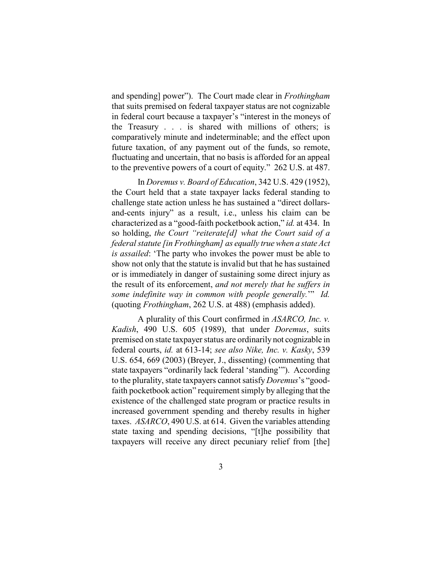and spending] power"). The Court made clear in *Frothingham* that suits premised on federal taxpayer status are not cognizable in federal court because a taxpayer's "interest in the moneys of the Treasury . . . is shared with millions of others; is comparatively minute and indeterminable; and the effect upon future taxation, of any payment out of the funds, so remote, fluctuating and uncertain, that no basis is afforded for an appeal to the preventive powers of a court of equity." 262 U.S. at 487.

In Doremus v. Board of Education, 342 U.S. 429 (1952), the Court held that a state taxpayer lacks federal standing to challenge state action unless he has sustained a "direct dollarsand-cents injury" as a result, i.e., unless his claim can be characterized as a "good-faith pocketbook action," id. at 434. In so holding, the Court "reiterate[d] what the Court said of a federal statute [in Frothingham] as equally true when a state Act is assailed: 'The party who invokes the power must be able to show not only that the statute is invalid but that he has sustained or is immediately in danger of sustaining some direct injury as the result of its enforcement, and not merely that he suffers in some indefinite way in common with people generally." Id. (quoting Frothingham, 262 U.S. at 488) (emphasis added).

A plurality of this Court confirmed in ASARCO, Inc. v. Kadish, 490 U.S. 605 (1989), that under Doremus, suits premised on state taxpayer status are ordinarily not cognizable in federal courts, id. at 613-14; see also Nike, Inc. v. Kasky, 539 U.S. 654, 669 (2003) (Breyer, J., dissenting) (commenting that state taxpayers "ordinarily lack federal 'standing'"). According to the plurality, state taxpayers cannot satisfy *Doremus*'s "goodfaith pocketbook action" requirement simply by alleging that the existence of the challenged state program or practice results in increased government spending and thereby results in higher taxes. ASARCO, 490 U.S. at 614. Given the variables attending state taxing and spending decisions, "[t]he possibility that taxpayers will receive any direct pecuniary relief from [the]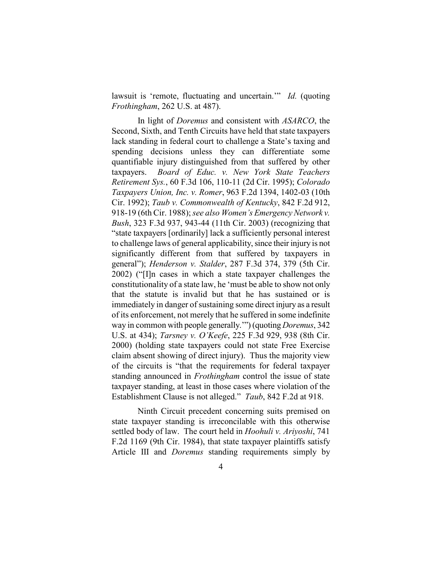lawsuit is 'remote, fluctuating and uncertain.'" Id. (quoting Frothingham, 262 U.S. at 487).

In light of *Doremus* and consistent with *ASARCO*, the Second, Sixth, and Tenth Circuits have held that state taxpayers lack standing in federal court to challenge a State's taxing and spending decisions unless they can differentiate some quantifiable injury distinguished from that suffered by other taxpayers. Board of Educ. v. New York State Teachers Retirement Sys., 60 F.3d 106, 110-11 (2d Cir. 1995); Colorado Taxpayers Union, Inc. v. Romer, 963 F.2d 1394, 1402-03 (10th Cir. 1992); Taub v. Commonwealth of Kentucky, 842 F.2d 912, 918-19 (6th Cir. 1988); see also Women's Emergency Network v. Bush, 323 F.3d 937, 943-44 (11th Cir. 2003) (recognizing that "state taxpayers [ordinarily] lack a sufficiently personal interest to challenge laws of general applicability, since their injury is not significantly different from that suffered by taxpayers in general"); *Henderson v. Stalder*, 287 F.3d 374, 379 (5th Cir. 2002) ("[I]n cases in which a state taxpayer challenges the constitutionality of a state law, he 'must be able to show not only that the statute is invalid but that he has sustained or is immediately in danger of sustaining some direct injury as a result of its enforcement, not merely that he suffered in some indefinite way in common with people generally."") (quoting *Doremus*, 342 U.S. at 434); Tarsney v. O'Keefe, 225 F.3d 929, 938 (8th Cir. 2000) (holding state taxpayers could not state Free Exercise claim absent showing of direct injury). Thus the majority view of the circuits is "that the requirements for federal taxpayer standing announced in *Frothingham* control the issue of state taxpayer standing, at least in those cases where violation of the Establishment Clause is not alleged." Taub, 842 F.2d at 918.

Ninth Circuit precedent concerning suits premised on state taxpayer standing is irreconcilable with this otherwise settled body of law. The court held in Hoohuli v. Ariyoshi, 741 F.2d 1169 (9th Cir. 1984), that state taxpayer plaintiffs satisfy Article III and *Doremus* standing requirements simply by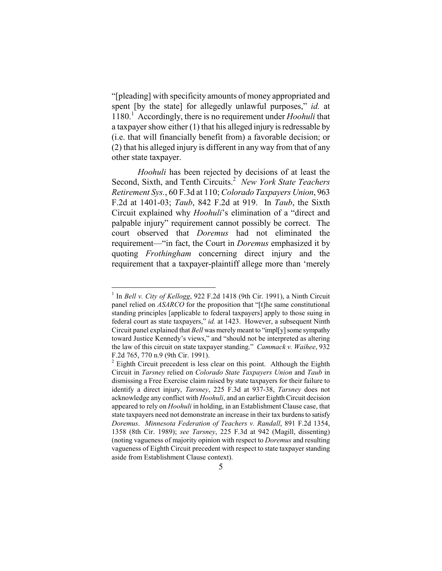"[pleading] with specificity amounts of money appropriated and spent [by the state] for allegedly unlawful purposes," id. at 1180.<sup>1</sup> Accordingly, there is no requirement under Hoohuli that a taxpayer show either (1) that his alleged injury is redressable by (i.e. that will financially benefit from) a favorable decision; or (2) that his alleged injury is different in any way from that of any other state taxpayer.

Hoohuli has been rejected by decisions of at least the Second, Sixth, and Tenth Circuits.<sup>2</sup> New York State Teachers Retirement Sys., 60 F.3d at 110; Colorado Taxpayers Union, 963 F.2d at 1401-03; Taub, 842 F.2d at 919. In Taub, the Sixth Circuit explained why Hoohuli's elimination of a "direct and palpable injury" requirement cannot possibly be correct. The court observed that Doremus had not eliminated the requirement—"in fact, the Court in Doremus emphasized it by quoting *Frothingham* concerning direct injury and the requirement that a taxpayer-plaintiff allege more than 'merely

 $\overline{a}$ 

<sup>&</sup>lt;sup>1</sup> In Bell v. City of Kellogg, 922 F.2d 1418 (9th Cir. 1991), a Ninth Circuit panel relied on ASARCO for the proposition that "[t]he same constitutional standing principles [applicable to federal taxpayers] apply to those suing in federal court as state taxpayers," id. at 1423. However, a subsequent Ninth Circuit panel explained that *Bell* was merely meant to "impley" some sympathy toward Justice Kennedy's views," and "should not be interpreted as altering the law of this circuit on state taxpayer standing." Cammack v. Waihee, 932 F.2d 765, 770 n.9 (9th Cir. 1991).

 $2$  Eighth Circuit precedent is less clear on this point. Although the Eighth Circuit in Tarsney relied on Colorado State Taxpayers Union and Taub in dismissing a Free Exercise claim raised by state taxpayers for their failure to identify a direct injury, Tarsney, 225 F.3d at 937-38, Tarsney does not acknowledge any conflict with Hoohuli, and an earlier Eighth Circuit decision appeared to rely on *Hoohuli* in holding, in an Establishment Clause case, that state taxpayers need not demonstrate an increase in their tax burdens to satisfy Doremus. Minnesota Federation of Teachers v. Randall, 891 F.2d 1354, 1358 (8th Cir. 1989); see Tarsney, 225 F.3d at 942 (Magill, dissenting) (noting vagueness of majority opinion with respect to Doremus and resulting vagueness of Eighth Circuit precedent with respect to state taxpayer standing aside from Establishment Clause context).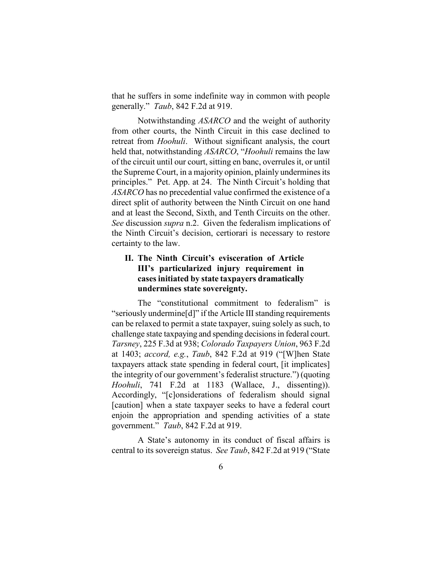that he suffers in some indefinite way in common with people generally." *Taub*, 842 F.2d at 919.

Notwithstanding ASARCO and the weight of authority from other courts, the Ninth Circuit in this case declined to retreat from *Hoohuli*. Without significant analysis, the court held that, notwithstanding ASARCO, "Hoohuli remains the law of the circuit until our court, sitting en banc, overrules it, or until the Supreme Court, in a majority opinion, plainly undermines its principles." Pet. App. at 24. The Ninth Circuit's holding that ASARCO has no precedential value confirmed the existence of a direct split of authority between the Ninth Circuit on one hand and at least the Second, Sixth, and Tenth Circuits on the other. See discussion *supra* n.2. Given the federalism implications of the Ninth Circuit's decision, certiorari is necessary to restore certainty to the law.

### II. The Ninth Circuit's evisceration of Article III's particularized injury requirement in cases initiated by state taxpayers dramatically undermines state sovereignty.

The "constitutional commitment to federalism" is "seriously undermine[d]" if the Article III standing requirements can be relaxed to permit a state taxpayer, suing solely as such, to challenge state taxpaying and spending decisions in federal court. Tarsney, 225 F.3d at 938; Colorado Taxpayers Union, 963 F.2d at 1403; accord, e.g., Taub, 842 F.2d at 919 ("[W]hen State taxpayers attack state spending in federal court, [it implicates] the integrity of our government's federalist structure.") (quoting Hoohuli, 741 F.2d at 1183 (Wallace, J., dissenting)). Accordingly, "[c]onsiderations of federalism should signal [caution] when a state taxpayer seeks to have a federal court enjoin the appropriation and spending activities of a state government." Taub, 842 F.2d at 919.

A State's autonomy in its conduct of fiscal affairs is central to its sovereign status. See Taub, 842 F.2d at 919 ("State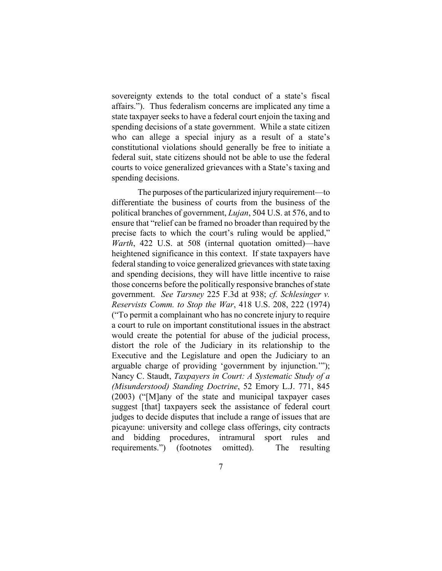sovereignty extends to the total conduct of a state's fiscal affairs."). Thus federalism concerns are implicated any time a state taxpayer seeks to have a federal court enjoin the taxing and spending decisions of a state government. While a state citizen who can allege a special injury as a result of a state's constitutional violations should generally be free to initiate a federal suit, state citizens should not be able to use the federal courts to voice generalized grievances with a State's taxing and spending decisions.

The purposes of the particularized injury requirement—to differentiate the business of courts from the business of the political branches of government, *Lujan*, 504 U.S. at 576, and to ensure that "relief can be framed no broader than required by the precise facts to which the court's ruling would be applied," Warth, 422 U.S. at 508 (internal quotation omitted)—have heightened significance in this context. If state taxpayers have federal standing to voice generalized grievances with state taxing and spending decisions, they will have little incentive to raise those concerns before the politically responsive branches of state government. See Tarsney 225 F.3d at 938; cf. Schlesinger v. Reservists Comm. to Stop the War, 418 U.S. 208, 222 (1974) ("To permit a complainant who has no concrete injury to require a court to rule on important constitutional issues in the abstract would create the potential for abuse of the judicial process, distort the role of the Judiciary in its relationship to the Executive and the Legislature and open the Judiciary to an arguable charge of providing 'government by injunction.'"); Nancy C. Staudt, Taxpayers in Court: A Systematic Study of a (Misunderstood) Standing Doctrine, 52 Emory L.J. 771, 845 (2003) ("[M]any of the state and municipal taxpayer cases suggest [that] taxpayers seek the assistance of federal court judges to decide disputes that include a range of issues that are picayune: university and college class offerings, city contracts and bidding procedures, intramural sport rules and requirements.") (footnotes omitted). The resulting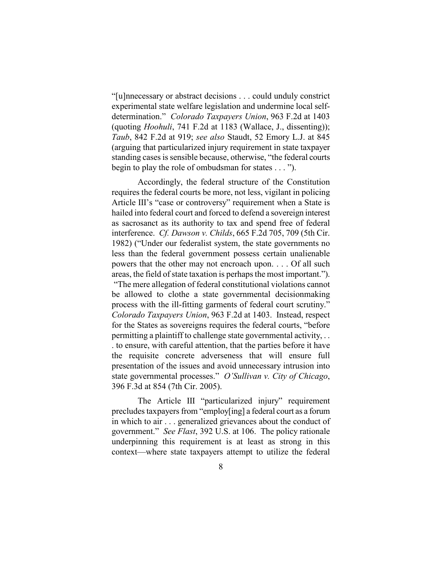"[u]nnecessary or abstract decisions . . . could unduly constrict experimental state welfare legislation and undermine local selfdetermination." Colorado Taxpayers Union, 963 F.2d at 1403 (quoting *Hoohuli*, 741 F.2d at 1183 (Wallace, J., dissenting)); Taub, 842 F.2d at 919; see also Staudt, 52 Emory L.J. at 845 (arguing that particularized injury requirement in state taxpayer standing cases is sensible because, otherwise, "the federal courts begin to play the role of ombudsman for states . . . ").

Accordingly, the federal structure of the Constitution requires the federal courts be more, not less, vigilant in policing Article III's "case or controversy" requirement when a State is hailed into federal court and forced to defend a sovereign interest as sacrosanct as its authority to tax and spend free of federal interference. Cf. Dawson v. Childs, 665 F.2d 705, 709 (5th Cir. 1982) ("Under our federalist system, the state governments no less than the federal government possess certain unalienable powers that the other may not encroach upon. . . . Of all such areas, the field of state taxation is perhaps the most important."). "The mere allegation of federal constitutional violations cannot be allowed to clothe a state governmental decisionmaking process with the ill-fitting garments of federal court scrutiny." Colorado Taxpayers Union, 963 F.2d at 1403. Instead, respect for the States as sovereigns requires the federal courts, "before permitting a plaintiff to challenge state governmental activity, . . . to ensure, with careful attention, that the parties before it have the requisite concrete adverseness that will ensure full presentation of the issues and avoid unnecessary intrusion into state governmental processes." O'Sullivan v. City of Chicago, 396 F.3d at 854 (7th Cir. 2005).

The Article III "particularized injury" requirement precludes taxpayers from "employ[ing] a federal court as a forum in which to air . . . generalized grievances about the conduct of government." See Flast, 392 U.S. at 106. The policy rationale underpinning this requirement is at least as strong in this context—where state taxpayers attempt to utilize the federal